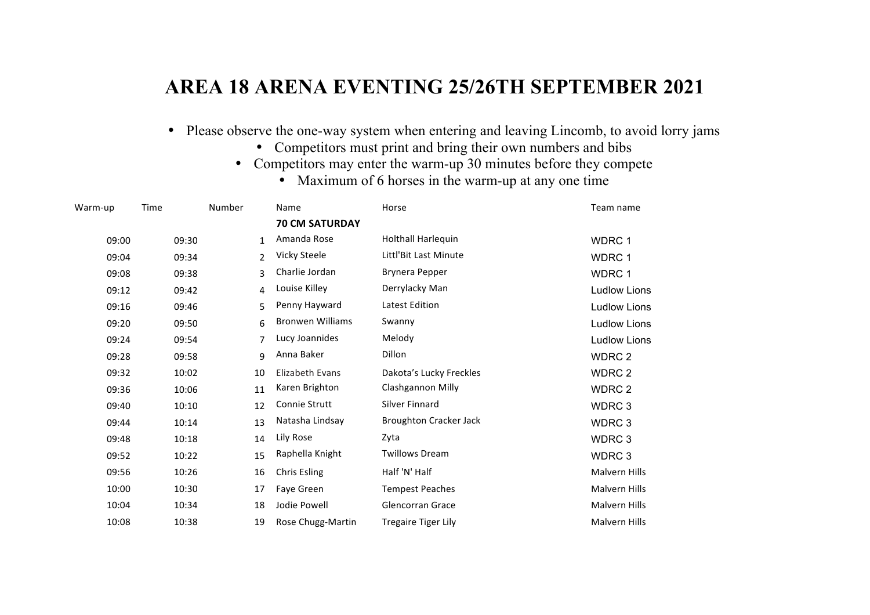## **AREA 18 ARENA EVENTING 25/26TH SEPTEMBER 2021**

- Please observe the one-way system when entering and leaving Lincomb, to avoid lorry jams
	- Competitors must print and bring their own numbers and bibs
	- Competitors may enter the warm-up 30 minutes before they compete
		- Maximum of 6 horses in the warm-up at any one time

| Warm-up | Time  | Number       | Name                    | Horse                         | Team name            |
|---------|-------|--------------|-------------------------|-------------------------------|----------------------|
|         |       |              | <b>70 CM SATURDAY</b>   |                               |                      |
| 09:00   | 09:30 | $\mathbf{1}$ | Amanda Rose             | Holthall Harlequin            | WDRC 1               |
| 09:04   | 09:34 | 2            | Vicky Steele            | Littl'Bit Last Minute         | WDRC 1               |
| 09:08   | 09:38 | 3            | Charlie Jordan          | Brynera Pepper                | WDRC 1               |
| 09:12   | 09:42 | 4            | Louise Killey           | Derrylacky Man                | <b>Ludlow Lions</b>  |
| 09:16   | 09:46 | 5            | Penny Hayward           | Latest Edition                | <b>Ludlow Lions</b>  |
| 09:20   | 09:50 | 6            | <b>Bronwen Williams</b> | Swanny                        | <b>Ludlow Lions</b>  |
| 09:24   | 09:54 | 7            | Lucy Joannides          | Melody                        | <b>Ludlow Lions</b>  |
| 09:28   | 09:58 | 9            | Anna Baker              | Dillon                        | WDRC 2               |
| 09:32   | 10:02 | 10           | Elizabeth Evans         | Dakota's Lucky Freckles       | WDRC 2               |
| 09:36   | 10:06 | 11           | Karen Brighton          | <b>Clashgannon Milly</b>      | WDRC 2               |
| 09:40   | 10:10 | 12           | <b>Connie Strutt</b>    | Silver Finnard                | WDRC <sub>3</sub>    |
| 09:44   | 10:14 | 13           | Natasha Lindsay         | <b>Broughton Cracker Jack</b> | WDRC <sub>3</sub>    |
| 09:48   | 10:18 | 14           | Lily Rose               | Zyta                          | WDRC 3               |
| 09:52   | 10:22 | 15           | Raphella Knight         | <b>Twillows Dream</b>         | WDRC 3               |
| 09:56   | 10:26 | 16           | Chris Esling            | Half 'N' Half                 | <b>Malvern Hills</b> |
| 10:00   | 10:30 | 17           | Faye Green              | <b>Tempest Peaches</b>        | <b>Malvern Hills</b> |
| 10:04   | 10:34 | 18           | Jodie Powell            | <b>Glencorran Grace</b>       | <b>Malvern Hills</b> |
| 10:08   | 10:38 | 19           | Rose Chugg-Martin       | <b>Tregaire Tiger Lily</b>    | <b>Malvern Hills</b> |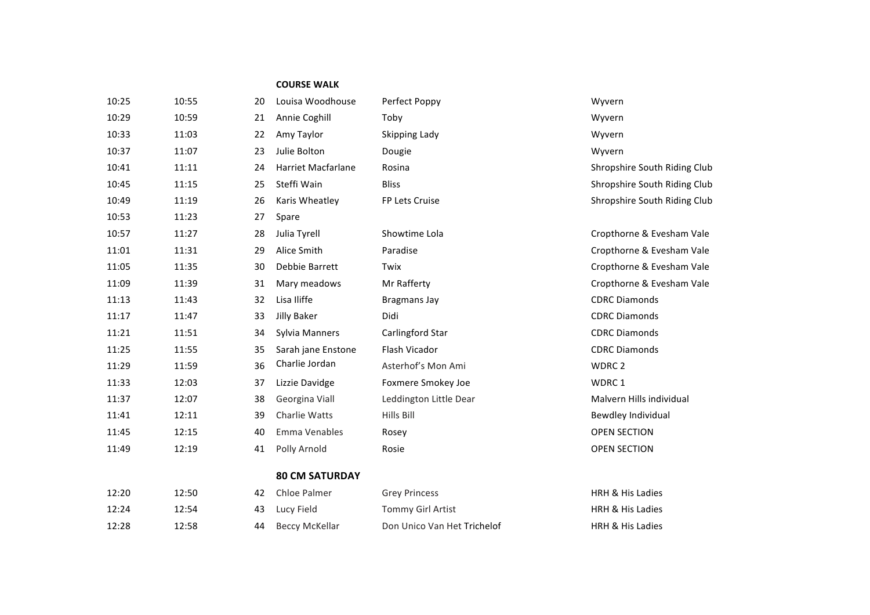## **COURSE WALK**

| 10:25 | 10:55 | 20 | Louisa Woodhouse          | Perfect Poppy          | Wyvern                 |
|-------|-------|----|---------------------------|------------------------|------------------------|
| 10:29 | 10:59 | 21 | Annie Coghill             | Toby                   | Wyvern                 |
| 10:33 | 11:03 | 22 | Amy Taylor                | Skipping Lady          | Wyvern                 |
| 10:37 | 11:07 | 23 | Julie Bolton              | Dougie                 | Wyvern                 |
| 10:41 | 11:11 | 24 | <b>Harriet Macfarlane</b> | Rosina                 | Shropshire Sout        |
| 10:45 | 11:15 | 25 | Steffi Wain               | <b>Bliss</b>           | Shropshire Sout        |
| 10:49 | 11:19 | 26 | Karis Wheatley            | FP Lets Cruise         | Shropshire Sout        |
| 10:53 | 11:23 | 27 | Spare                     |                        |                        |
| 10:57 | 11:27 | 28 | Julia Tyrell              | Showtime Lola          | Cropthorne & Ev        |
| 11:01 | 11:31 | 29 | Alice Smith               | Paradise               | Cropthorne & Ev        |
| 11:05 | 11:35 | 30 | Debbie Barrett            | Twix                   | Cropthorne & Ev        |
| 11:09 | 11:39 | 31 | Mary meadows              | Mr Rafferty            | Cropthorne & Ev        |
| 11:13 | 11:43 | 32 | Lisa Iliffe               | <b>Bragmans Jay</b>    | <b>CDRC Diamonds</b>   |
| 11:17 | 11:47 | 33 | Jilly Baker               | Didi                   | <b>CDRC Diamonds</b>   |
| 11:21 | 11:51 | 34 | Sylvia Manners            | Carlingford Star       | <b>CDRC Diamonds</b>   |
| 11:25 | 11:55 | 35 | Sarah jane Enstone        | Flash Vicador          | <b>CDRC Diamonds</b>   |
| 11:29 | 11:59 | 36 | Charlie Jordan            | Asterhof's Mon Ami     | WDRC <sub>2</sub>      |
| 11:33 | 12:03 | 37 | Lizzie Davidge            | Foxmere Smokey Joe     | WDRC 1                 |
| 11:37 | 12:07 | 38 | Georgina Viall            | Leddington Little Dear | Malvern Hills in       |
| 11:41 | 12:11 | 39 | Charlie Watts             | <b>Hills Bill</b>      | <b>Bewdley Individ</b> |
| 11:45 | 12:15 | 40 | Emma Venables             | Rosey                  | <b>OPEN SECTION</b>    |
| 11:49 | 12:19 | 41 | Polly Arnold              | Rosie                  | <b>OPEN SECTION</b>    |
|       |       |    | <b>80 CM SATURDAY</b>     |                        |                        |
| 12:20 | 12:50 | 42 | Chloe Palmer              | <b>Grey Princess</b>   | HRH & His Ladie        |
| 12.24 | 12.54 |    | 43 Lucy Field             | Tommy Girl Artist      | HRH & His Ladie        |

opshire South Riding Club opshire South Riding Club opshire South Riding Club

10.53 10:57 10:57 10:57 10:57 10:57 10:58 opthorne & Evesham Vale 10:11:05 bpthorne & Evesham Vale 11:09 11:09 10:09 appthorne & Evesham Vale Ivern Hills individual wdley Individual

| 12:20 | 12:50 | 42. | Chloe Palmer      | <b>Grey Princess</b>        | <b>HRH &amp; His Ladies</b> |
|-------|-------|-----|-------------------|-----------------------------|-----------------------------|
| 12:24 | L2:54 |     | 43 Lucy Field     | Tommy Girl Artist           | <b>HRH &amp; His Ladies</b> |
| 12:28 | 12:58 |     | 44 Beccy McKellar | Don Unico Van Het Trichelof | <b>HRH &amp; His Ladies</b> |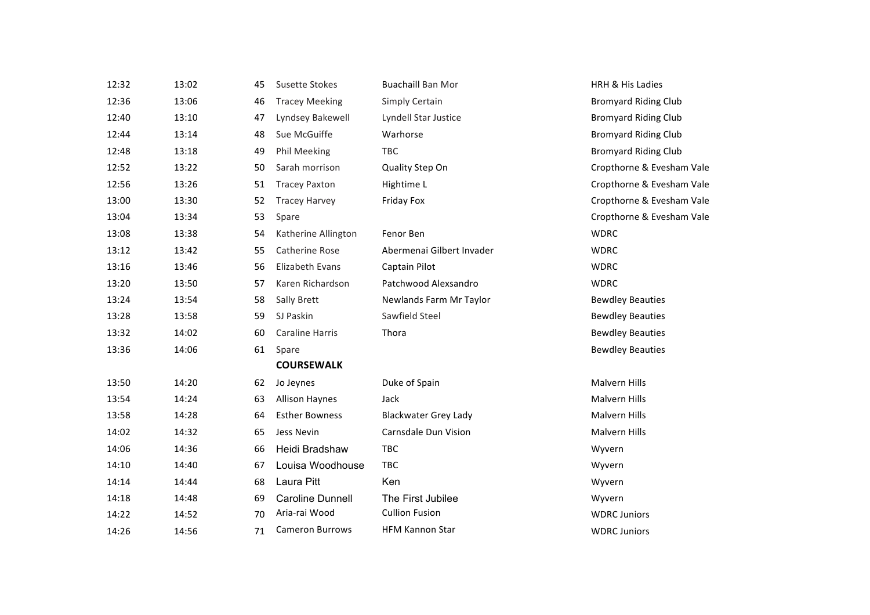| 12:32 | 13:02 | 45 | <b>Susette Stokes</b>   | <b>Buachaill Ban Mor</b>    | <b>HRH &amp; His Ladies</b> |
|-------|-------|----|-------------------------|-----------------------------|-----------------------------|
| 12:36 | 13:06 | 46 | <b>Tracey Meeking</b>   | Simply Certain              | <b>Bromyard Riding Club</b> |
| 12:40 | 13:10 | 47 | Lyndsey Bakewell        | Lyndell Star Justice        | <b>Bromyard Riding Club</b> |
| 12:44 | 13:14 | 48 | Sue McGuiffe            | Warhorse                    | <b>Bromyard Riding Club</b> |
| 12:48 | 13:18 | 49 | Phil Meeking            | TBC                         | <b>Bromyard Riding Club</b> |
| 12:52 | 13:22 | 50 | Sarah morrison          | Quality Step On             | Cropthorne & Evesham Vale   |
|       |       |    |                         |                             |                             |
| 12:56 | 13:26 | 51 | <b>Tracey Paxton</b>    | Hightime L                  | Cropthorne & Evesham Vale   |
| 13:00 | 13:30 | 52 | <b>Tracey Harvey</b>    | Friday Fox                  | Cropthorne & Evesham Vale   |
| 13:04 | 13:34 | 53 | Spare                   |                             | Cropthorne & Evesham Vale   |
| 13:08 | 13:38 | 54 | Katherine Allington     | Fenor Ben                   | <b>WDRC</b>                 |
| 13:12 | 13:42 | 55 | Catherine Rose          | Abermenai Gilbert Invader   | <b>WDRC</b>                 |
| 13:16 | 13:46 | 56 | Elizabeth Evans         | Captain Pilot               | <b>WDRC</b>                 |
| 13:20 | 13:50 | 57 | Karen Richardson        | Patchwood Alexsandro        | <b>WDRC</b>                 |
| 13:24 | 13:54 | 58 | Sally Brett             | Newlands Farm Mr Taylor     | <b>Bewdley Beauties</b>     |
| 13:28 | 13:58 | 59 | SJ Paskin               | Sawfield Steel              | <b>Bewdley Beauties</b>     |
| 13:32 | 14:02 | 60 | <b>Caraline Harris</b>  | Thora                       | <b>Bewdley Beauties</b>     |
| 13:36 | 14:06 | 61 | Spare                   |                             | <b>Bewdley Beauties</b>     |
|       |       |    | <b>COURSEWALK</b>       |                             |                             |
| 13:50 | 14:20 | 62 | Jo Jeynes               | Duke of Spain               | Malvern Hills               |
| 13:54 | 14:24 | 63 | <b>Allison Haynes</b>   | Jack                        | Malvern Hills               |
| 13:58 | 14:28 | 64 | <b>Esther Bowness</b>   | <b>Blackwater Grey Lady</b> | <b>Malvern Hills</b>        |
| 14:02 | 14:32 | 65 | Jess Nevin              | Carnsdale Dun Vision        | Malvern Hills               |
| 14:06 | 14:36 | 66 | Heidi Bradshaw          | TBC                         | Wyvern                      |
| 14:10 | 14:40 | 67 | Louisa Woodhouse        | TBC                         | Wyvern                      |
| 14:14 | 14:44 | 68 | Laura Pitt              | Ken                         | Wyvern                      |
| 14:18 | 14:48 | 69 | <b>Caroline Dunnell</b> | The First Jubilee           | Wyvern                      |
| 14:22 | 14:52 | 70 | Aria-rai Wood           | <b>Cullion Fusion</b>       | <b>WDRC Juniors</b>         |
| 14:26 | 14:56 | 71 | <b>Cameron Burrows</b>  | <b>HFM Kannon Star</b>      | <b>WDRC Juniors</b>         |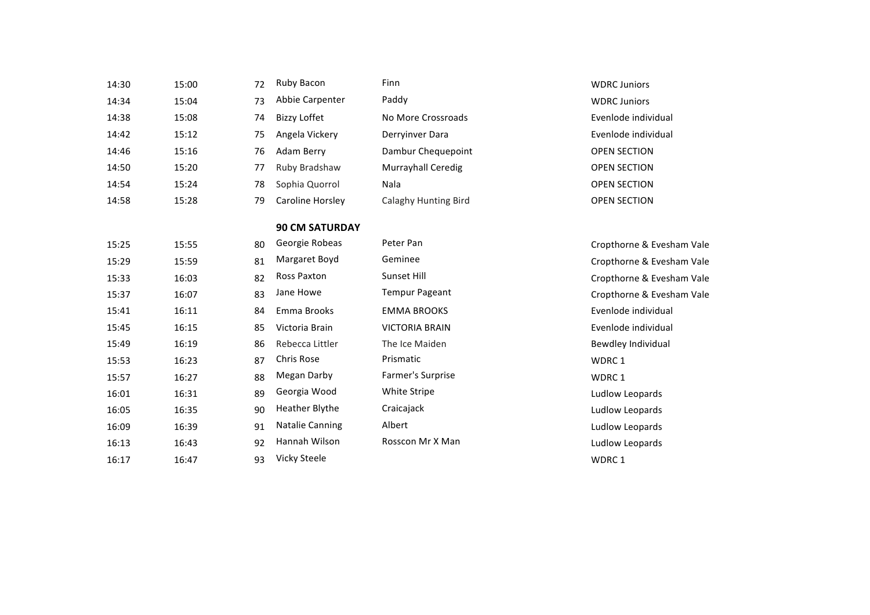| 14:30 | 15:00 | 72 | Ruby Bacon             | Finn                        | <b>WDRC Juniors</b>       |
|-------|-------|----|------------------------|-----------------------------|---------------------------|
|       |       |    | Abbie Carpenter        | Paddy                       |                           |
| 14:34 | 15:04 | 73 |                        |                             | <b>WDRC Juniors</b>       |
| 14:38 | 15:08 | 74 | <b>Bizzy Loffet</b>    | No More Crossroads          | Evenlode individual       |
| 14:42 | 15:12 | 75 | Angela Vickery         | Derryinver Dara             | Evenlode individual       |
| 14:46 | 15:16 | 76 | Adam Berry             | Dambur Chequepoint          | <b>OPEN SECTION</b>       |
| 14:50 | 15:20 | 77 | Ruby Bradshaw          | Murrayhall Ceredig          | <b>OPEN SECTION</b>       |
| 14:54 | 15:24 | 78 | Sophia Quorrol         | Nala                        | <b>OPEN SECTION</b>       |
| 14:58 | 15:28 | 79 | Caroline Horsley       | <b>Calaghy Hunting Bird</b> | <b>OPEN SECTION</b>       |
|       |       |    | <b>90 CM SATURDAY</b>  |                             |                           |
| 15:25 | 15:55 | 80 | Georgie Robeas         | Peter Pan                   | Cropthorne & Evesham Vale |
| 15:29 | 15:59 | 81 | Margaret Boyd          | Geminee                     | Cropthorne & Evesham Vale |
| 15:33 | 16:03 | 82 | Ross Paxton            | Sunset Hill                 | Cropthorne & Evesham Vale |
| 15:37 | 16:07 | 83 | Jane Howe              | <b>Tempur Pageant</b>       | Cropthorne & Evesham Vale |
| 15:41 | 16:11 | 84 | Emma Brooks            | <b>EMMA BROOKS</b>          | Evenlode individual       |
| 15:45 | 16:15 | 85 | Victoria Brain         | <b>VICTORIA BRAIN</b>       | Evenlode individual       |
| 15:49 | 16:19 | 86 | Rebecca Littler        | The Ice Maiden              | Bewdley Individual        |
| 15:53 | 16:23 | 87 | Chris Rose             | Prismatic                   | WDRC 1                    |
| 15:57 | 16:27 | 88 | Megan Darby            | Farmer's Surprise           | WDRC 1                    |
| 16:01 | 16:31 | 89 | Georgia Wood           | White Stripe                | Ludlow Leopards           |
| 16:05 | 16:35 | 90 | <b>Heather Blythe</b>  | Craicajack                  | Ludlow Leopards           |
| 16:09 | 16:39 | 91 | <b>Natalie Canning</b> | Albert                      | Ludlow Leopards           |
| 16:13 | 16:43 | 92 | Hannah Wilson          | Rosscon Mr X Man            | Ludlow Leopards           |
| 16:17 | 16:47 | 93 | <b>Vicky Steele</b>    |                             | WDRC <sub>1</sub>         |